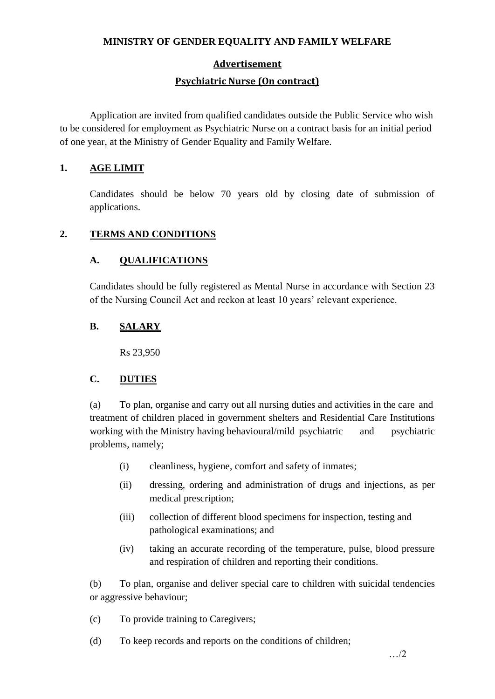# **Advertisement**

### **Psychiatric Nurse (On contract)**

Application are invited from qualified candidates outside the Public Service who wish to be considered for employment as Psychiatric Nurse on a contract basis for an initial period of one year, at the Ministry of Gender Equality and Family Welfare.

### **1. AGE LIMIT**

Candidates should be below 70 years old by closing date of submission of applications.

# **2. TERMS AND CONDITIONS**

# **A. QUALIFICATIONS**

Candidates should be fully registered as Mental Nurse in accordance with Section 23 of the Nursing Council Act and reckon at least 10 years' relevant experience.

# **B. SALARY**

Rs 23,950

#### **C. DUTIES**

(a) To plan, organise and carry out all nursing duties and activities in the care and treatment of children placed in government shelters and Residential Care Institutions working with the Ministry having behavioural/mild psychiatric and psychiatric problems, namely;

- (i) cleanliness, hygiene, comfort and safety of inmates;
- (ii) dressing, ordering and administration of drugs and injections, as per medical prescription;
- (iii) collection of different blood specimens for inspection, testing and pathological examinations; and
- (iv) taking an accurate recording of the temperature, pulse, blood pressure and respiration of children and reporting their conditions.

(b) To plan, organise and deliver special care to children with suicidal tendencies or aggressive behaviour;

(c) To provide training to Caregivers;

(d) To keep records and reports on the conditions of children;